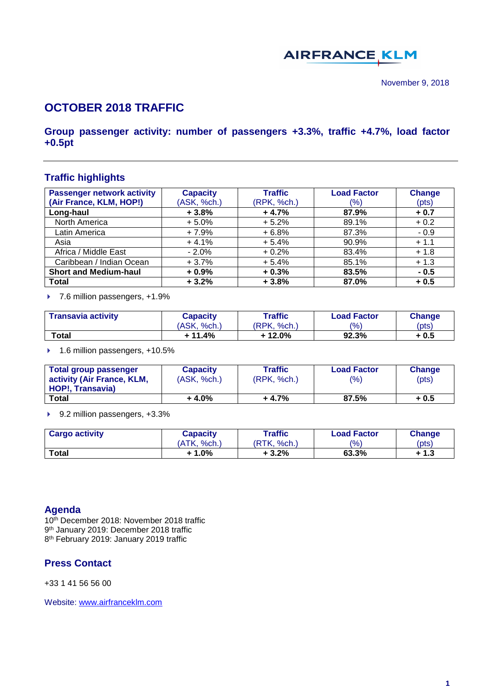# **AIRFRANCE KLM**

# **OCTOBER 2018 TRAFFIC**

## **Group passenger activity: number of passengers +3.3%, traffic +4.7%, load factor +0.5pt**

## **Traffic highlights**

| <b>Passenger network activity</b> | <b>Capacity</b> | <b>Traffic</b> | <b>Load Factor</b> | <b>Change</b> |
|-----------------------------------|-----------------|----------------|--------------------|---------------|
| (Air France, KLM, HOP!)           | (ASK, %ch.)     | (RPK, %ch.)    | (%)                | (pts)         |
| Long-haul                         | $+3.8%$         | $+4.7%$        | 87.9%              | $+0.7$        |
| North America                     | $+5.0%$         | $+5.2%$        | 89.1%              | $+0.2$        |
| Latin America                     | $+7.9%$         | $+6.8%$        | 87.3%              | $-0.9$        |
| Asia                              | $+4.1%$         | $+5.4%$        | 90.9%              | $+1.1$        |
| Africa / Middle East              | $-2.0%$         | $+0.2%$        | 83.4%              | $+1.8$        |
| Caribbean / Indian Ocean          | $+3.7%$         | $+5.4%$        | 85.1%              | $+1.3$        |
| <b>Short and Medium-haul</b>      | $+0.9%$         | $+0.3%$        | 83.5%              | $-0.5$        |
| <b>Total</b>                      | $+3.2%$         | $+3.8%$        | 87.0%              | $+0.5$        |

▶ 7.6 million passengers, +1.9%

| <b>Transavia activity</b> | Capacity<br>(ASK, %ch.) | Traffic<br><b>Load Factor</b><br>$\frac{10}{6}$<br>(RPK, %ch.) |       | Change<br>(pts) |
|---------------------------|-------------------------|----------------------------------------------------------------|-------|-----------------|
| Total                     | + 11.4%                 | + 12.0%                                                        | 92.3% | + 0.5           |

▶ 1.6 million passengers, +10.5%

| <b>Total group passenger</b> | <b>Capacity</b> | Traffic     | <b>Load Factor</b> | Change |
|------------------------------|-----------------|-------------|--------------------|--------|
| activity (Air France, KLM,   | (ASK, %ch.)     | (RPK, %ch.) | (%)                | (pts)  |
| HOP!, Transavia)             |                 |             |                    |        |
| Total                        | $+4.0%$         | $+4.7%$     | 87.5%              | + 0.5  |

▶ 9.2 million passengers, +3.3%

| <b>Cargo activity</b> | Capacity    | $\tau$ raffic     | <b>Load Factor</b> | <b>Change</b> |
|-----------------------|-------------|-------------------|--------------------|---------------|
|                       | (ATK, %ch.) | 'RTK.<br>$%$ ch., | $\frac{(0)}{0}$    | (pts)         |
| <b>Total</b>          | + 1.0%      | + 3.2%            | 63.3%              | ⊦ 1.3         |

#### **Agenda**

10th December 2018: November 2018 traffic 9 th January 2019: December 2018 traffic 8 th February 2019: January 2019 traffic

### **Press Contact**

+33 1 41 56 56 00

Website: [www.airfranceklm.com](http://www.airfranceklm.com/)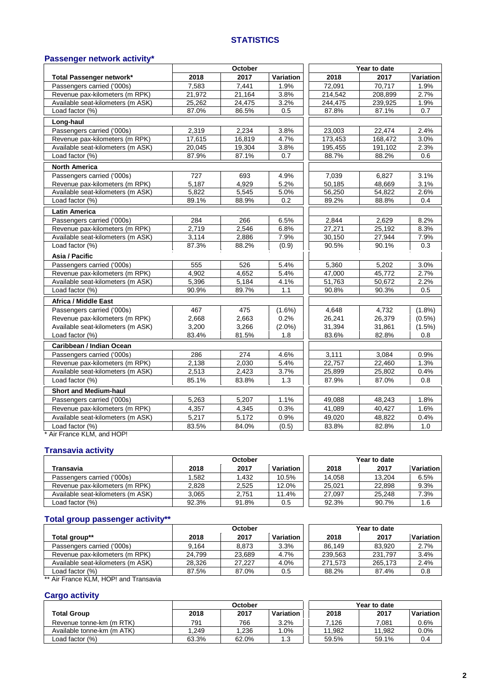#### **STATISTICS**

## **Passenger network activity\***

|                                   |        | October |           |         | Year to date |           |
|-----------------------------------|--------|---------|-----------|---------|--------------|-----------|
| Total Passenger network*          | 2018   | 2017    | Variation | 2018    | 2017         | Variation |
| Passengers carried ('000s)        | 7,583  | 7,441   | 1.9%      | 72,091  | 70,717       | 1.9%      |
| Revenue pax-kilometers (m RPK)    | 21,972 | 21,164  | 3.8%      | 214,542 | 208,899      | 2.7%      |
| Available seat-kilometers (m ASK) | 25,262 | 24,475  | 3.2%      | 244,475 | 239,925      | 1.9%      |
| Load factor (%)                   | 87.0%  | 86.5%   | 0.5       | 87.8%   | 87.1%        | 0.7       |
| Long-haul                         |        |         |           |         |              |           |
| Passengers carried ('000s)        | 2.319  | 2.234   | 3.8%      | 23,003  | 22,474       | 2.4%      |
| Revenue pax-kilometers (m RPK)    | 17,615 | 16,819  | 4.7%      | 173,453 | 168,472      | 3.0%      |
| Available seat-kilometers (m ASK) | 20,045 | 19,304  | 3.8%      | 195,455 | 191,102      | 2.3%      |
| Load factor (%)                   | 87.9%  | 87.1%   | 0.7       | 88.7%   | 88.2%        | 0.6       |
| <b>North America</b>              |        |         |           |         |              |           |
| Passengers carried ('000s)        | 727    | 693     | 4.9%      | 7,039   | 6,827        | 3.1%      |
| Revenue pax-kilometers (m RPK)    | 5,187  | 4,929   | 5.2%      | 50,185  | 48,669       | 3.1%      |
| Available seat-kilometers (m ASK) | 5,822  | 5,545   | 5.0%      | 56,250  | 54,822       | 2.6%      |
| Load factor (%)                   | 89.1%  | 88.9%   | 0.2       | 89.2%   | 88.8%        | 0.4       |
| <b>Latin America</b>              |        |         |           |         |              |           |
| Passengers carried ('000s)        | 284    | 266     | 6.5%      | 2,844   | 2,629        | 8.2%      |
| Revenue pax-kilometers (m RPK)    | 2,719  | 2,546   | 6.8%      | 27,271  | 25,192       | 8.3%      |
| Available seat-kilometers (m ASK) | 3,114  | 2,886   | 7.9%      | 30,150  | 27,944       | 7.9%      |
| Load factor (%)                   | 87.3%  | 88.2%   | (0.9)     | 90.5%   | 90.1%        | 0.3       |
| Asia / Pacific                    |        |         |           |         |              |           |
| Passengers carried ('000s)        | 555    | 526     | 5.4%      | 5,360   | 5,202        | 3.0%      |
| Revenue pax-kilometers (m RPK)    | 4.902  | 4.652   | 5.4%      | 47,000  | 45,772       | 2.7%      |
| Available seat-kilometers (m ASK) | 5,396  | 5,184   | 4.1%      | 51,763  | 50,672       | 2.2%      |
| Load factor (%)                   | 90.9%  | 89.7%   | 1.1       | 90.8%   | 90.3%        | 0.5       |
| Africa / Middle East              |        |         |           |         |              |           |
| Passengers carried ('000s)        | 467    | 475     | $(1.6\%)$ | 4,648   | 4,732        | $(1.8\%)$ |
| Revenue pax-kilometers (m RPK)    | 2.668  | 2.663   | 0.2%      | 26,241  | 26.379       | $(0.5\%)$ |
| Available seat-kilometers (m ASK) | 3,200  | 3,266   | $(2.0\%)$ | 31,394  | 31,861       | $(1.5\%)$ |
| Load factor (%)                   | 83.4%  | 81.5%   | 1.8       | 83.6%   | 82.8%        | 0.8       |
| Caribbean / Indian Ocean          |        |         |           |         |              |           |
| Passengers carried ('000s)        | 286    | 274     | 4.6%      | 3,111   | 3,084        | 0.9%      |
| Revenue pax-kilometers (m RPK)    | 2,138  | 2,030   | 5.4%      | 22,757  | 22,460       | 1.3%      |
| Available seat-kilometers (m ASK) | 2,513  | 2,423   | 3.7%      | 25,899  | 25,802       | 0.4%      |
| Load factor (%)                   | 85.1%  | 83.8%   | 1.3       | 87.9%   | 87.0%        | 0.8       |
| <b>Short and Medium-haul</b>      |        |         |           |         |              |           |
| Passengers carried ('000s)        | 5,263  | 5,207   | 1.1%      | 49,088  | 48,243       | 1.8%      |
| Revenue pax-kilometers (m RPK)    | 4,357  | 4,345   | 0.3%      | 41,089  | 40,427       | 1.6%      |
| Available seat-kilometers (m ASK) | 5,217  | 5,172   | 0.9%      | 49,020  | 48,822       | 0.4%      |
| Load factor (%)                   | 83.5%  | 84.0%   | (0.5)     | 83.8%   | 82.8%        | 1.0       |

\* Air France KLM, and HOP!

## **Transavia activity**

|                                   | October |       |           |        | Year to date |           |
|-----------------------------------|---------|-------|-----------|--------|--------------|-----------|
| Transavia                         | 2018    | 2017  | Variation | 2018   | 2017         | Variation |
| Passengers carried ('000s)        | .582    | .432  | 10.5%     | 14.058 | 13.204       | 6.5%      |
| Revenue pax-kilometers (m RPK)    | 2.828   | 2.525 | 12.0%     | 25.021 | 22.898       | 9.3%      |
| Available seat-kilometers (m ASK) | 3.065   | 2.751 | 11.4%     | 27.097 | 25.248       | 7.3%      |
| Load factor (%)                   | 92.3%   | 91.8% | 0.5       | 92.3%  | 90.7%        | 1.6       |

#### **Total group passenger activity\*\***

|                                   | October |        |           |         | Year to date |           |
|-----------------------------------|---------|--------|-----------|---------|--------------|-----------|
| Total group**                     | 2018    | 2017   | Variation | 2018    | 2017         | Variation |
| Passengers carried ('000s)        | 9.164   | 8,873  | 3.3%      | 86.149  | 83.920       | 2.7%      |
| Revenue pax-kilometers (m RPK)    | 24.799  | 23.689 | 4.7%      | 239.563 | 231.797      | 3.4%      |
| Available seat-kilometers (m ASK) | 28.326  | 27.227 | 4.0%      | 271.573 | 265.173      | 2.4%      |
| Load factor $(\%)$                | 87.5%   | 87.0%  | 0.5       | 88.2%   | 87.4%        | 0.8       |

Air France KLM, HOP! and Transavia

#### **Cargo activity**

|                            | October |       |           |        | Year to date |           |
|----------------------------|---------|-------|-----------|--------|--------------|-----------|
| <b>Total Group</b>         | 2018    | 2017  | Variation | 2018   | 2017         | Variation |
| Revenue tonne-km (m RTK)   | 791     | 766   | 3.2%      | 7.126  | 7.081        | 0.6%      |
| Available tonne-km (m ATK) | 1.249   | .236  | .0%       | 11.982 | 11.982       | 0.0%      |
| Load factor (%)            | 63.3%   | 62.0% | 1.3       | 59.5%  | 59.1%        | 0.4       |